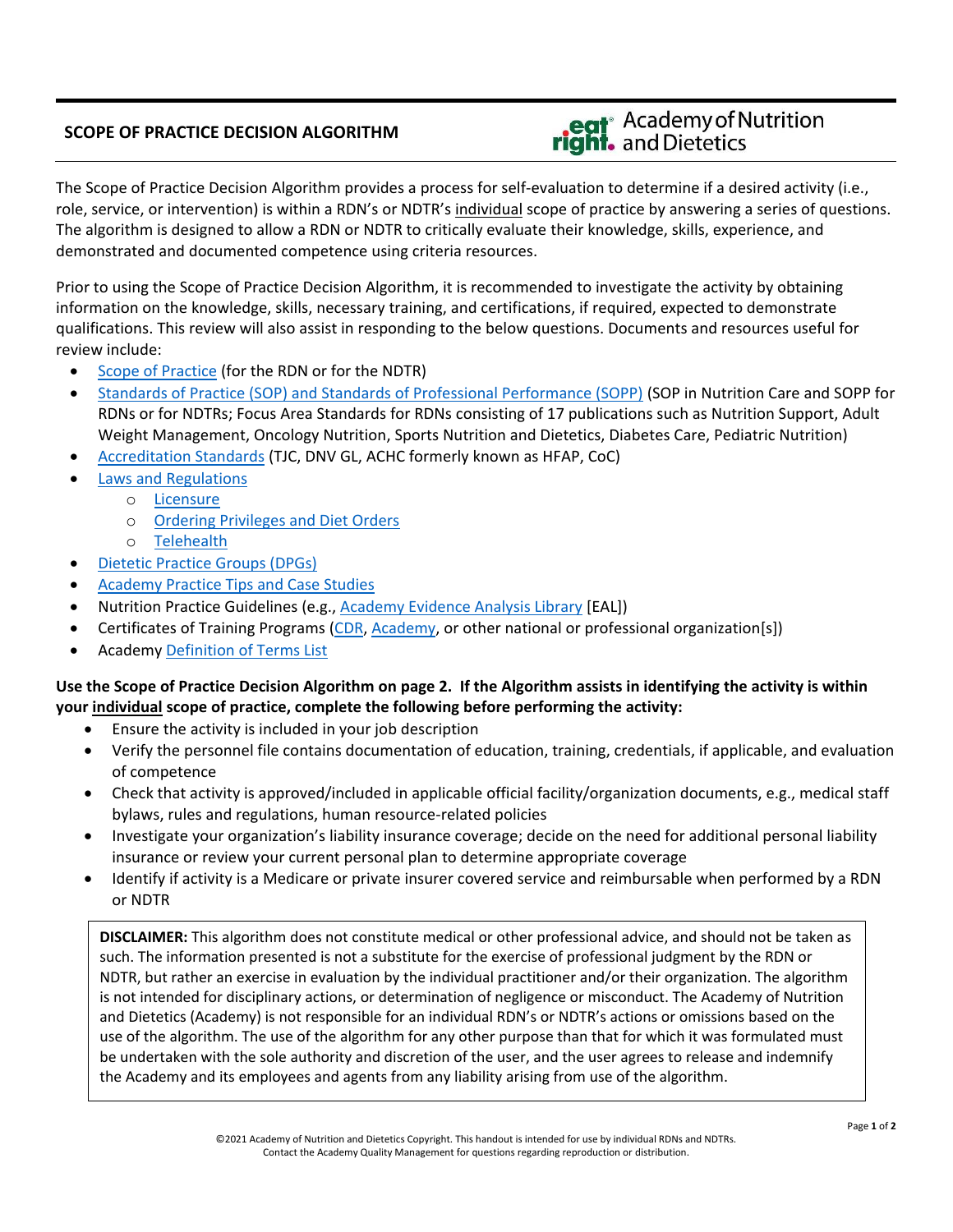## **SCOPE OF PRACTICE DECISION ALGORITHM**

## eat<sup>®</sup> Academy of Nutrition<br>**right.** and Dietetics

The Scope of Practice Decision Algorithm provides a process for self-evaluation to determine if a desired activity (i.e., role, service, or intervention) is within a RDN's or NDTR's individual scope of practice by answering a series of questions. The algorithm is designed to allow a RDN or NDTR to critically evaluate their knowledge, skills, experience, and demonstrated and documented competence using criteria resources.

Prior to using the Scope of Practice Decision Algorithm, it is recommended to investigate the activity by obtaining information on the knowledge, skills, necessary training, and certifications, if required, expected to demonstrate qualifications. This review will also assist in responding to the below questions. Documents and resources useful for review include:

- [Scope of Practice](https://www.eatrightpro.org/practice/quality-management/scope-of-practice) (for the RDN or for the NDTR)
- [Standards of Practice \(SOP\) and Standards of Professional Performance \(SOPP\)](https://www.eatrightpro.org/practice/quality-management/standards-of-practice) (SOP in Nutrition Care and SOPP for RDNs or for NDTRs; Focus Area Standards for RDNs consisting of 17 publications such as Nutrition Support, Adult Weight Management, Oncology Nutrition, Sports Nutrition and Dietetics, Diabetes Care, Pediatric Nutrition)
- [Accreditation Standards](https://www.eatrightpro.org/practice/quality-management/national-quality-accreditation-and-regulations) (TJC, DNV GL, ACHC formerly known as HFAP, CoC)
- [Laws and Regulations](https://www.eatrightpro.org/advocacy/legislation/all-legislation)
	- o [Licensure](https://www.eatrightpro.org/advocacy/licensure/licensure-map)
		- o [Ordering Privileges and Diet Orders](https://www.eatrightpro.org/advocacy/licensure/therapeutic-diet-orders)
		- o [Telehealth](https://www.eatrightpro.org/advocacy/licensure/licensure-and-telehealth)
- [Dietetic Practice](https://www.eatrightpro.org/membership/academy-groups/dietetic-practice-groups) Groups (DPGs)
- [Academy Practice Tips and Case Studies](https://www.eatrightpro.org/practice/quality-management/competence-case-studies-practice-tips)
- Nutrition Practice Guidelines (e.g., [Academy Evidence Analysis Library](https://www.andeal.org/) [EAL])
- Certificates of Training Programs [\(CDR,](https://www.cdrnet.org/) [Academy,](https://www.eatrightpro.org/practice/professional-development/distance-learning/online-learning) or other national or professional organization[s])
- Academy [Definition of Terms List](https://www.eatrightpro.org/scope)

## **Use the Scope of Practice Decision Algorithm on page 2. If the Algorithm assists in identifying the activity is within your individual scope of practice, complete the following before performing the activity:**

- Ensure the activity is included in your job description
- Verify the personnel file contains documentation of education, training, credentials, if applicable, and evaluation of competence
- Check that activity is approved/included in applicable official facility/organization documents, e.g., medical staff bylaws, rules and regulations, human resource-related policies
- Investigate your organization's liability insurance coverage; decide on the need for additional personal liability insurance or review your current personal plan to determine appropriate coverage
- Identify if activity is a Medicare or private insurer covered service and reimbursable when performed by a RDN or NDTR

**DISCLAIMER:** This algorithm does not constitute medical or other professional advice, and should not be taken as such. The information presented is not a substitute for the exercise of professional judgment by the RDN or NDTR, but rather an exercise in evaluation by the individual practitioner and/or their organization. The algorithm is not intended for disciplinary actions, or determination of negligence or misconduct. The Academy of Nutrition and Dietetics (Academy) is not responsible for an individual RDN's or NDTR's actions or omissions based on the use of the algorithm. The use of the algorithm for any other purpose than that for which it was formulated must be undertaken with the sole authority and discretion of the user, and the user agrees to release and indemnify the Academy and its employees and agents from any liability arising from use of the algorithm.